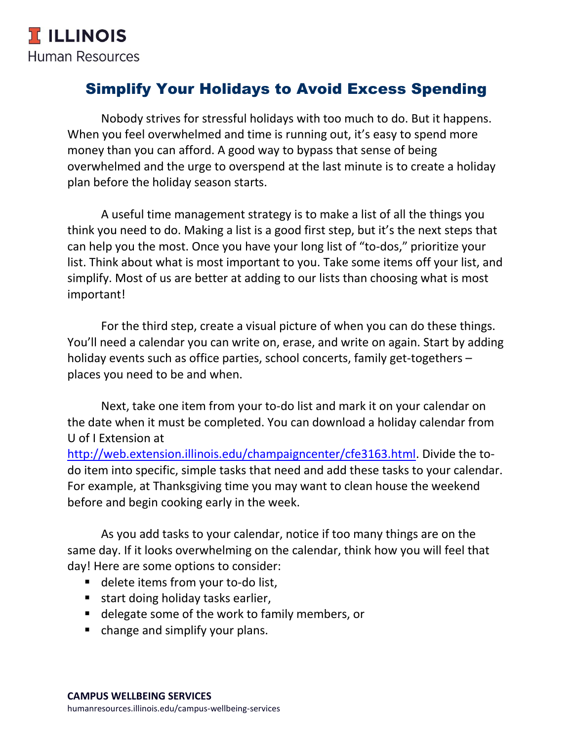## Simplify Your Holidays to Avoid Excess Spending

Nobody strives for stressful holidays with too much to do. But it happens. When you feel overwhelmed and time is running out, it's easy to spend more money than you can afford. A good way to bypass that sense of being overwhelmed and the urge to overspend at the last minute is to create a holiday plan before the holiday season starts.

A useful time management strategy is to make a list of all the things you think you need to do. Making a list is a good first step, but it's the next steps that can help you the most. Once you have your long list of "to-dos," prioritize your list. Think about what is most important to you. Take some items off your list, and simplify. Most of us are better at adding to our lists than choosing what is most important!

For the third step, create a visual picture of when you can do these things. You'll need a calendar you can write on, erase, and write on again. Start by adding holiday events such as office parties, school concerts, family get-togethers – places you need to be and when.

Next, take one item from your to-do list and mark it on your calendar on the date when it must be completed. You can download a holiday calendar from U of I Extension at

[http://web.extension.illinois.edu/champaigncenter/cfe3163.html.](http://web.extension.illinois.edu/champaigncenter/cfe3163.html) Divide the todo item into specific, simple tasks that need and add these tasks to your calendar. For example, at Thanksgiving time you may want to clean house the weekend before and begin cooking early in the week.

As you add tasks to your calendar, notice if too many things are on the same day. If it looks overwhelming on the calendar, think how you will feel that day! Here are some options to consider:

- delete items from your to-do list,
- start doing holiday tasks earlier,
- delegate some of the work to family members, or
- change and simplify your plans.